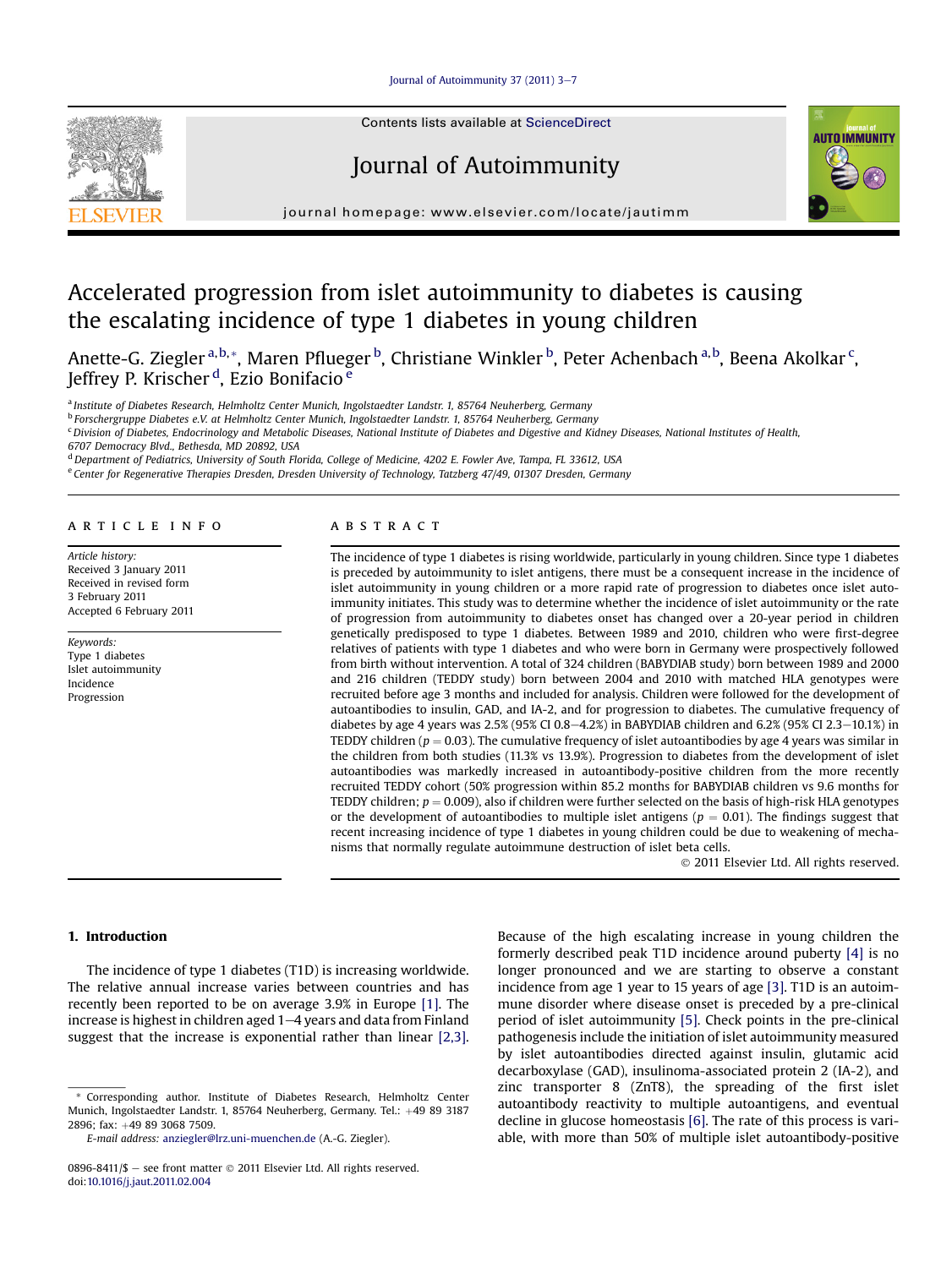## [Journal of Autoimmunity 37 \(2011\) 3](http://dx.doi.org/10.1016/j.jaut.2011.02.004)-[7](http://dx.doi.org/10.1016/j.jaut.2011.02.004)



Contents lists available at ScienceDirect

# Journal of Autoimmunity



journal homepage:<www.elsevier.com/locate/jautimm>

# Accelerated progression from islet autoimmunity to diabetes is causing the escalating incidence of type 1 diabetes in young children

Anette-G. Ziegler <sup>a,b,</sup>\*, Maren Pflueger <sup>b</sup>, Christiane Winkler <sup>b</sup>, Peter Achenbach <sup>a, b</sup>, Beena Akolkar <sup>c</sup>, Jeffrey P. Krischer <sup>d</sup>, Ezio Bonifacio <sup>e</sup>

a Institute of Diabetes Research, Helmholtz Center Munich, Ingolstaedter Landstr. 1, 85764 Neuherberg, Germany

<sup>b</sup> Forschergruppe Diabetes e.V. at Helmholtz Center Munich, Ingolstaedter Landstr. 1, 85764 Neuherberg, Germany

<sup>c</sup> Division of Diabetes, Endocrinology and Metabolic Diseases, National Institute of Diabetes and Digestive and Kidney Diseases, National Institutes of Health,

6707 Democracy Blvd., Bethesda, MD 20892, USA

<sup>d</sup> Department of Pediatrics, University of South Florida, College of Medicine, 4202 E. Fowler Ave, Tampa, FL 33612, USA

<sup>e</sup> Center for Regenerative Therapies Dresden, Dresden University of Technology, Tatzberg 47/49, 01307 Dresden, Germany

#### article info

Article history: Received 3 January 2011 Received in revised form 3 February 2011 Accepted 6 February 2011

Keywords: Type 1 diabetes Islet autoimmunity Incidence Progression

### **ABSTRACT**

The incidence of type 1 diabetes is rising worldwide, particularly in young children. Since type 1 diabetes is preceded by autoimmunity to islet antigens, there must be a consequent increase in the incidence of islet autoimmunity in young children or a more rapid rate of progression to diabetes once islet autoimmunity initiates. This study was to determine whether the incidence of islet autoimmunity or the rate of progression from autoimmunity to diabetes onset has changed over a 20-year period in children genetically predisposed to type 1 diabetes. Between 1989 and 2010, children who were first-degree relatives of patients with type 1 diabetes and who were born in Germany were prospectively followed from birth without intervention. A total of 324 children (BABYDIAB study) born between 1989 and 2000 and 216 children (TEDDY study) born between 2004 and 2010 with matched HLA genotypes were recruited before age 3 months and included for analysis. Children were followed for the development of autoantibodies to insulin, GAD, and IA-2, and for progression to diabetes. The cumulative frequency of diabetes by age 4 years was  $2.5\%$  (95% CI 0.8-4.2%) in BABYDIAB children and 6.2% (95% CI 2.3-10.1%) in TEDDY children ( $p = 0.03$ ). The cumulative frequency of islet autoantibodies by age 4 years was similar in the children from both studies (11.3% vs 13.9%). Progression to diabetes from the development of islet autoantibodies was markedly increased in autoantibody-positive children from the more recently recruited TEDDY cohort (50% progression within 85.2 months for BABYDIAB children vs 9.6 months for TEDDY children;  $p = 0.009$ ), also if children were further selected on the basis of high-risk HLA genotypes or the development of autoantibodies to multiple islet antigens ( $p = 0.01$ ). The findings suggest that recent increasing incidence of type 1 diabetes in young children could be due to weakening of mechanisms that normally regulate autoimmune destruction of islet beta cells.

2011 Elsevier Ltd. All rights reserved.

## 1. Introduction

The incidence of type 1 diabetes (T1D) is increasing worldwide. The relative annual increase varies between countries and has recently been reported to be on average 3.9% in Europe [\[1\]](#page-4-0). The increase is highest in children aged  $1-4$  years and data from Finland suggest that the increase is exponential rather than linear [\[2,3\].](#page-4-0)

Because of the high escalating increase in young children the formerly described peak T1D incidence around puberty [\[4\]](#page-4-0) is no longer pronounced and we are starting to observe a constant incidence from age 1 year to 15 years of age [\[3\].](#page-4-0) T1D is an autoimmune disorder where disease onset is preceded by a pre-clinical period of islet autoimmunity [\[5\]](#page-4-0). Check points in the pre-clinical pathogenesis include the initiation of islet autoimmunity measured by islet autoantibodies directed against insulin, glutamic acid decarboxylase (GAD), insulinoma-associated protein 2 (IA-2), and zinc transporter 8 (ZnT8), the spreading of the first islet autoantibody reactivity to multiple autoantigens, and eventual decline in glucose homeostasis [\[6\].](#page-4-0) The rate of this process is variable, with more than 50% of multiple islet autoantibody-positive

<sup>\*</sup> Corresponding author. Institute of Diabetes Research, Helmholtz Center Munich, Ingolstaedter Landstr. 1, 85764 Neuherberg, Germany. Tel.: +49 89 3187 2896; fax: +49 89 3068 7509.

E-mail address: [anziegler@lrz.uni-muenchen.de](mailto:anziegler@lrz.uni-muenchen.de) (A.-G. Ziegler).

<sup>0896-8411/\$ -</sup> see front matter  $\odot$  2011 Elsevier Ltd. All rights reserved. doi[:10.1016/j.jaut.2011.02.004](http://dx.doi.org/10.1016/j.jaut.2011.02.004)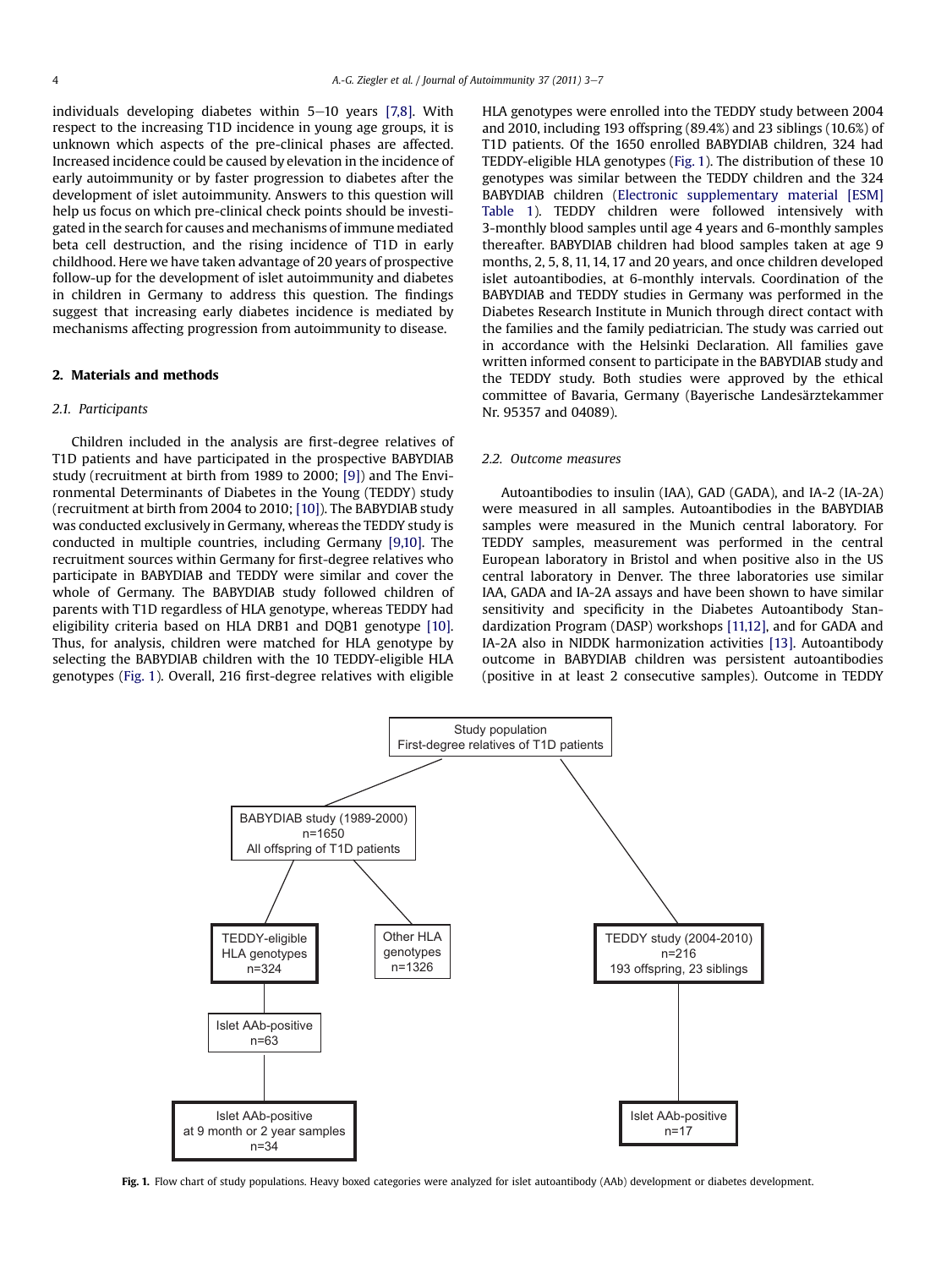individuals developing diabetes within  $5-10$  years [\[7,8\]](#page-4-0). With respect to the increasing T1D incidence in young age groups, it is unknown which aspects of the pre-clinical phases are affected. Increased incidence could be caused by elevation in the incidence of early autoimmunity or by faster progression to diabetes after the development of islet autoimmunity. Answers to this question will help us focus on which pre-clinical check points should be investigated in the search for causes and mechanisms of immune mediated beta cell destruction, and the rising incidence of T1D in early childhood. Here we have taken advantage of 20 years of prospective follow-up for the development of islet autoimmunity and diabetes in children in Germany to address this question. The findings suggest that increasing early diabetes incidence is mediated by mechanisms affecting progression from autoimmunity to disease.

### 2. Materials and methods

#### 2.1. Participants

Children included in the analysis are first-degree relatives of T1D patients and have participated in the prospective BABYDIAB study (recruitment at birth from 1989 to 2000; [\[9\]](#page-4-0)) and The Environmental Determinants of Diabetes in the Young (TEDDY) study (recruitment at birth from 2004 to 2010; [\[10\]](#page-4-0)). The BABYDIAB study was conducted exclusively in Germany, whereas the TEDDY study is conducted in multiple countries, including Germany [\[9,10\]](#page-4-0). The recruitment sources within Germany for first-degree relatives who participate in BABYDIAB and TEDDY were similar and cover the whole of Germany. The BABYDIAB study followed children of parents with T1D regardless of HLA genotype, whereas TEDDY had eligibility criteria based on HLA DRB1 and DQB1 genotype [\[10\].](#page-4-0) Thus, for analysis, children were matched for HLA genotype by selecting the BABYDIAB children with the 10 TEDDY-eligible HLA genotypes (Fig. 1). Overall, 216 first-degree relatives with eligible

HLA genotypes were enrolled into the TEDDY study between 2004 and 2010, including 193 offspring (89.4%) and 23 siblings (10.6%) of T1D patients. Of the 1650 enrolled BABYDIAB children, 324 had TEDDY-eligible HLA genotypes (Fig. 1). The distribution of these 10 genotypes was similar between the TEDDY children and the 324 BABYDIAB children (Electronic supplementary material [ESM] Table 1). TEDDY children were followed intensively with 3-monthly blood samples until age 4 years and 6-monthly samples thereafter. BABYDIAB children had blood samples taken at age 9 months, 2, 5, 8, 11, 14, 17 and 20 years, and once children developed islet autoantibodies, at 6-monthly intervals. Coordination of the BABYDIAB and TEDDY studies in Germany was performed in the Diabetes Research Institute in Munich through direct contact with the families and the family pediatrician. The study was carried out in accordance with the Helsinki Declaration. All families gave written informed consent to participate in the BABYDIAB study and the TEDDY study. Both studies were approved by the ethical committee of Bavaria, Germany (Bayerische Landesärztekammer Nr. 95357 and 04089).

#### 2.2. Outcome measures

Autoantibodies to insulin (IAA), GAD (GADA), and IA-2 (IA-2A) were measured in all samples. Autoantibodies in the BABYDIAB samples were measured in the Munich central laboratory. For TEDDY samples, measurement was performed in the central European laboratory in Bristol and when positive also in the US central laboratory in Denver. The three laboratories use similar IAA, GADA and IA-2A assays and have been shown to have similar sensitivity and specificity in the Diabetes Autoantibody Standardization Program (DASP) workshops [\[11,12\]](#page-4-0), and for GADA and IA-2A also in NIDDK harmonization activities [\[13\]](#page-4-0). Autoantibody outcome in BABYDIAB children was persistent autoantibodies (positive in at least 2 consecutive samples). Outcome in TEDDY



Fig. 1. Flow chart of study populations. Heavy boxed categories were analyzed for islet autoantibody (AAb) development or diabetes development.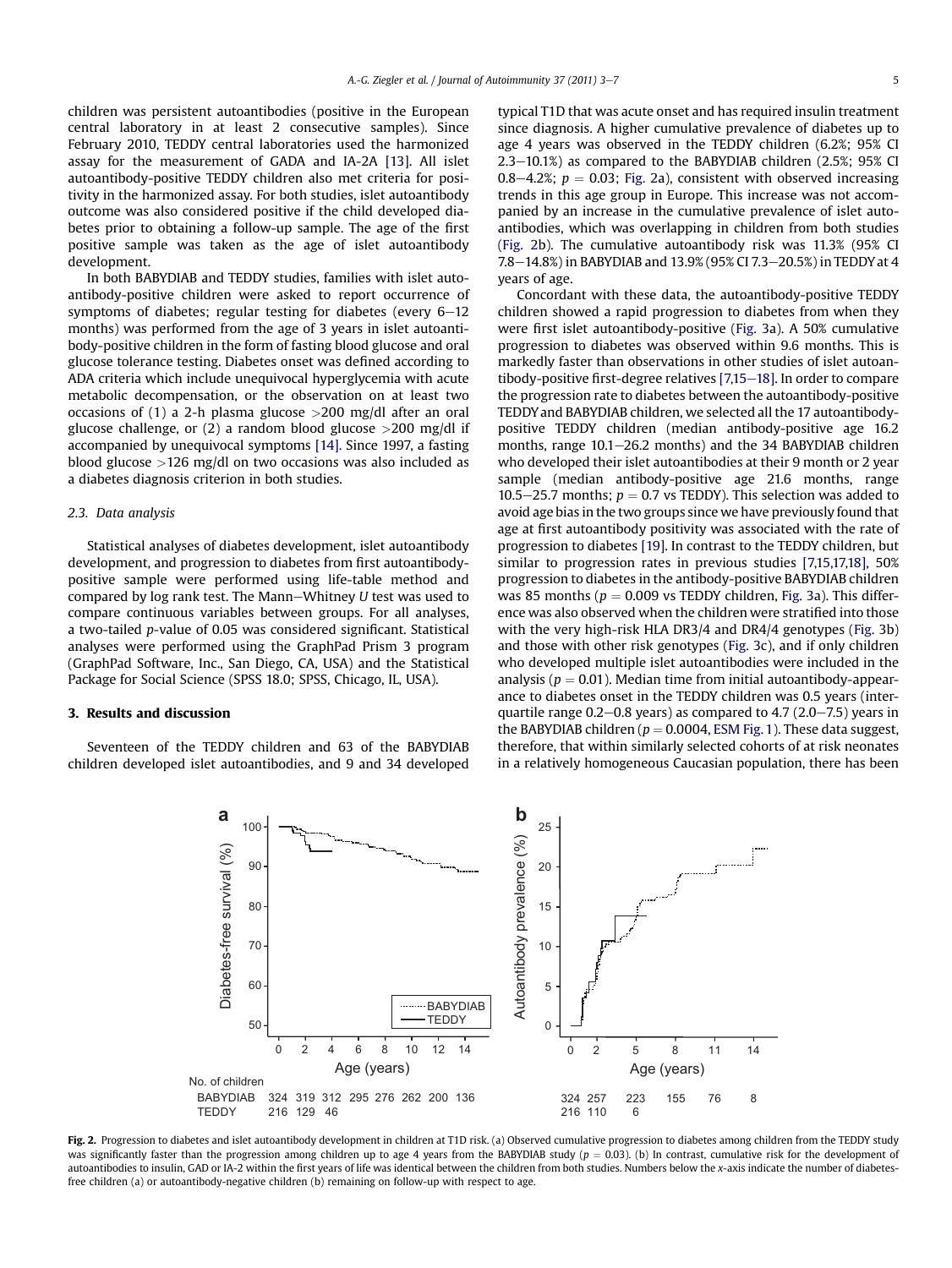children was persistent autoantibodies (positive in the European central laboratory in at least 2 consecutive samples). Since February 2010, TEDDY central laboratories used the harmonized assay for the measurement of GADA and IA-2A [\[13\]](#page-4-0). All islet autoantibody-positive TEDDY children also met criteria for positivity in the harmonized assay. For both studies, islet autoantibody outcome was also considered positive if the child developed diabetes prior to obtaining a follow-up sample. The age of the first positive sample was taken as the age of islet autoantibody development.

In both BABYDIAB and TEDDY studies, families with islet autoantibody-positive children were asked to report occurrence of symptoms of diabetes; regular testing for diabetes (every  $6-12$ months) was performed from the age of 3 years in islet autoantibody-positive children in the form of fasting blood glucose and oral glucose tolerance testing. Diabetes onset was defined according to ADA criteria which include unequivocal hyperglycemia with acute metabolic decompensation, or the observation on at least two occasions of (1) a 2-h plasma glucose  $>200$  mg/dl after an oral glucose challenge, or  $(2)$  a random blood glucose  $>200$  mg/dl if accompanied by unequivocal symptoms [\[14\]](#page-4-0). Since 1997, a fasting blood glucose >126 mg/dl on two occasions was also included as a diabetes diagnosis criterion in both studies.

## 2.3. Data analysis

Statistical analyses of diabetes development, islet autoantibody development, and progression to diabetes from first autoantibodypositive sample were performed using life-table method and compared by log rank test. The Mann-Whitney  $U$  test was used to compare continuous variables between groups. For all analyses, a two-tailed p-value of 0.05 was considered significant. Statistical analyses were performed using the GraphPad Prism 3 program (GraphPad Software, Inc., San Diego, CA, USA) and the Statistical Package for Social Science (SPSS 18.0; SPSS, Chicago, IL, USA).

## 3. Results and discussion

Seventeen of the TEDDY children and 63 of the BABYDIAB children developed islet autoantibodies, and 9 and 34 developed typical T1D that was acute onset and has required insulin treatment since diagnosis. A higher cumulative prevalence of diabetes up to age 4 years was observed in the TEDDY children (6.2%; 95% CI 2.3-10.1%) as compared to the BABYDIAB children (2.5%; 95% CI 0.8-4.2%;  $p = 0.03$ ; Fig. 2a), consistent with observed increasing trends in this age group in Europe. This increase was not accompanied by an increase in the cumulative prevalence of islet autoantibodies, which was overlapping in children from both studies (Fig. 2b). The cumulative autoantibody risk was 11.3% (95% CI 7.8-14.8%) in BABYDIAB and 13.9% (95% CI 7.3-20.5%) in TEDDY at 4 years of age.

Concordant with these data, the autoantibody-positive TEDDY children showed a rapid progression to diabetes from when they were first islet autoantibody-positive ([Fig. 3a](#page-3-0)). A 50% cumulative progression to diabetes was observed within 9.6 months. This is markedly faster than observations in other studies of islet autoantibody-positive first-degree relatives  $[7,15-18]$  $[7,15-18]$ . In order to compare the progression rate to diabetes between the autoantibody-positive TEDDY and BABYDIAB children, we selected all the 17 autoantibodypositive TEDDY children (median antibody-positive age 16.2 months, range  $10.1-26.2$  months) and the 34 BABYDIAB children who developed their islet autoantibodies at their 9 month or 2 year sample (median antibody-positive age 21.6 months, range 10.5–25.7 months;  $p = 0.7$  vs TEDDY). This selection was added to avoid age bias in the two groups since we have previously found that age at first autoantibody positivity was associated with the rate of progression to diabetes [\[19\]](#page-4-0). In contrast to the TEDDY children, but similar to progression rates in previous studies [\[7,15,17,18\]](#page-4-0), 50% progression to diabetes in the antibody-positive BABYDIAB children was 85 months ( $p = 0.009$  vs TEDDY children, [Fig. 3](#page-3-0)a). This difference was also observed when the children were stratified into those with the very high-risk HLA DR3/4 and DR4/4 genotypes [\(Fig. 3b](#page-3-0)) and those with other risk genotypes ([Fig. 3](#page-3-0)c), and if only children who developed multiple islet autoantibodies were included in the analysis ( $p = 0.01$ ). Median time from initial autoantibody-appearance to diabetes onset in the TEDDY children was 0.5 years (interquartile range  $0.2-0.8$  years) as compared to  $4.7$  ( $2.0-7.5$ ) years in the BABYDIAB children ( $p = 0.0004$ , ESM Fig. 1). These data suggest, therefore, that within similarly selected cohorts of at risk neonates in a relatively homogeneous Caucasian population, there has been



Fig. 2. Progression to diabetes and islet autoantibody development in children at T1D risk. (a) Observed cumulative progression to diabetes among children from the TEDDY study was significantly faster than the progression among children up to age 4 years from the BABYDIAB study ( $p = 0.03$ ). (b) In contrast, cumulative risk for the development of autoantibodies to insulin, GAD or IA-2 within the first years of life was identical between the children from both studies. Numbers below the x-axis indicate the number of diabetesfree children (a) or autoantibody-negative children (b) remaining on follow-up with respect to age.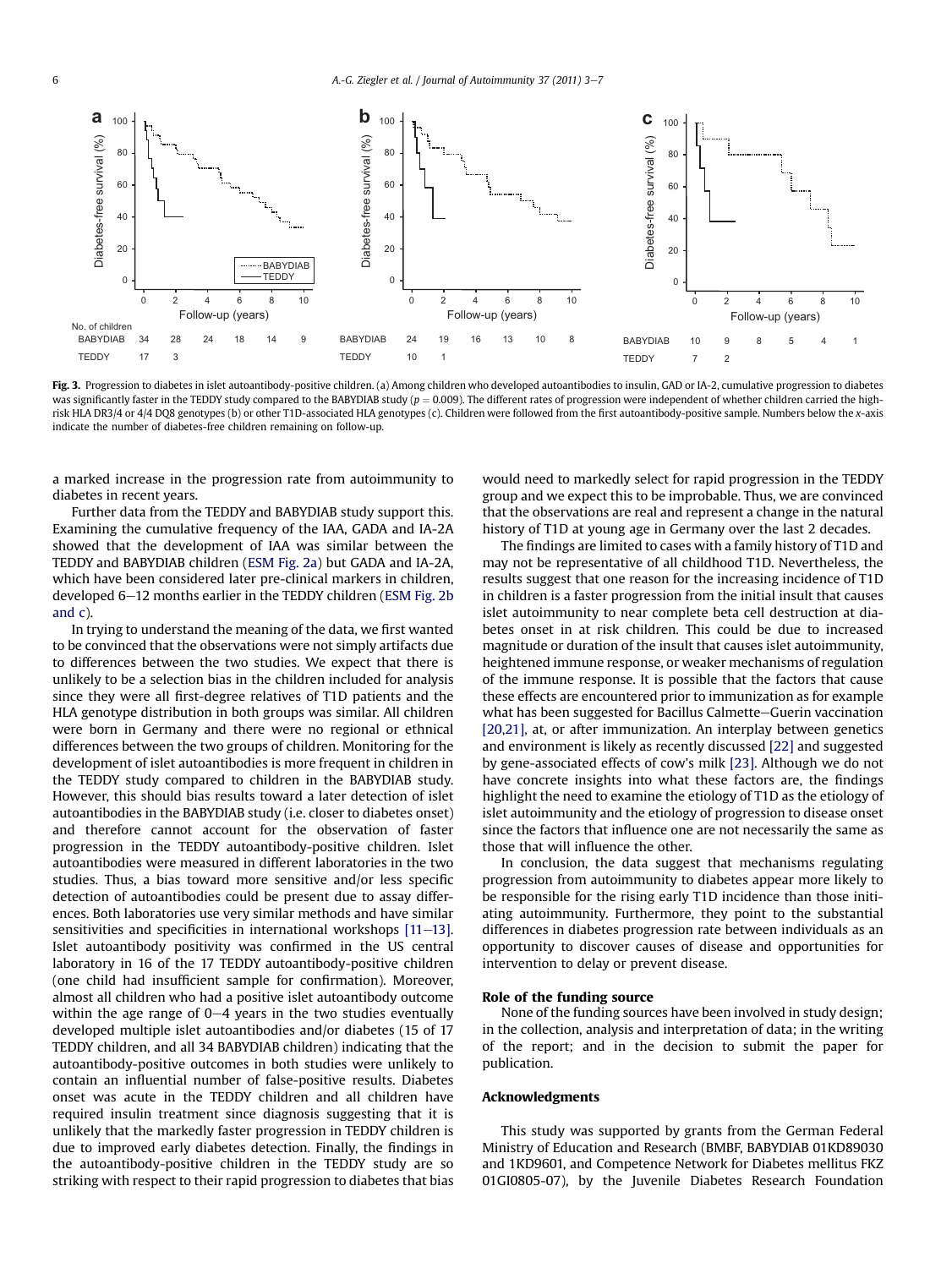<span id="page-3-0"></span>

Fig. 3. Progression to diabetes in islet autoantibody-positive children. (a) Among children who developed autoantibodies to insulin, GAD or IA-2, cumulative progression to diabetes was significantly faster in the TEDDY study compared to the BABYDIAB study ( $p = 0.009$ ). The different rates of progression were independent of whether children carried the highrisk HLA DR3/4 or 4/4 DQ8 genotypes (b) or other T1D-associated HLA genotypes (c). Children were followed from the first autoantibody-positive sample. Numbers below the x-axis indicate the number of diabetes-free children remaining on follow-up.

a marked increase in the progression rate from autoimmunity to diabetes in recent years.

Further data from the TEDDY and BABYDIAB study support this. Examining the cumulative frequency of the IAA, GADA and IA-2A showed that the development of IAA was similar between the TEDDY and BABYDIAB children (ESM Fig. 2a) but GADA and IA-2A, which have been considered later pre-clinical markers in children, developed 6–12 months earlier in the TEDDY children (ESM Fig. 2b) and c).

In trying to understand the meaning of the data, we first wanted to be convinced that the observations were not simply artifacts due to differences between the two studies. We expect that there is unlikely to be a selection bias in the children included for analysis since they were all first-degree relatives of T1D patients and the HLA genotype distribution in both groups was similar. All children were born in Germany and there were no regional or ethnical differences between the two groups of children. Monitoring for the development of islet autoantibodies is more frequent in children in the TEDDY study compared to children in the BABYDIAB study. However, this should bias results toward a later detection of islet autoantibodies in the BABYDIAB study (i.e. closer to diabetes onset) and therefore cannot account for the observation of faster progression in the TEDDY autoantibody-positive children. Islet autoantibodies were measured in different laboratories in the two studies. Thus, a bias toward more sensitive and/or less specific detection of autoantibodies could be present due to assay differences. Both laboratories use very similar methods and have similar sensitivities and specificities in international workshops  $[11–13]$  $[11–13]$  $[11–13]$ . Islet autoantibody positivity was confirmed in the US central laboratory in 16 of the 17 TEDDY autoantibody-positive children (one child had insufficient sample for confirmation). Moreover, almost all children who had a positive islet autoantibody outcome within the age range of  $0-4$  years in the two studies eventually developed multiple islet autoantibodies and/or diabetes (15 of 17 TEDDY children, and all 34 BABYDIAB children) indicating that the autoantibody-positive outcomes in both studies were unlikely to contain an influential number of false-positive results. Diabetes onset was acute in the TEDDY children and all children have required insulin treatment since diagnosis suggesting that it is unlikely that the markedly faster progression in TEDDY children is due to improved early diabetes detection. Finally, the findings in the autoantibody-positive children in the TEDDY study are so striking with respect to their rapid progression to diabetes that bias would need to markedly select for rapid progression in the TEDDY group and we expect this to be improbable. Thus, we are convinced that the observations are real and represent a change in the natural history of T1D at young age in Germany over the last 2 decades.

The findings are limited to cases with a family history of T1D and may not be representative of all childhood T1D. Nevertheless, the results suggest that one reason for the increasing incidence of T1D in children is a faster progression from the initial insult that causes islet autoimmunity to near complete beta cell destruction at diabetes onset in at risk children. This could be due to increased magnitude or duration of the insult that causes islet autoimmunity, heightened immune response, or weaker mechanisms of regulation of the immune response. It is possible that the factors that cause these effects are encountered prior to immunization as for example what has been suggested for Bacillus Calmette–Guerin vaccination [\[20,21\]](#page-4-0), at, or after immunization. An interplay between genetics and environment is likely as recently discussed [\[22\]](#page-4-0) and suggested by gene-associated effects of cow's milk [\[23\]](#page-4-0). Although we do not have concrete insights into what these factors are, the findings highlight the need to examine the etiology of T1D as the etiology of islet autoimmunity and the etiology of progression to disease onset since the factors that influence one are not necessarily the same as those that will influence the other.

In conclusion, the data suggest that mechanisms regulating progression from autoimmunity to diabetes appear more likely to be responsible for the rising early T1D incidence than those initiating autoimmunity. Furthermore, they point to the substantial differences in diabetes progression rate between individuals as an opportunity to discover causes of disease and opportunities for intervention to delay or prevent disease.

## Role of the funding source

None of the funding sources have been involved in study design; in the collection, analysis and interpretation of data; in the writing of the report; and in the decision to submit the paper for publication.

### Acknowledgments

This study was supported by grants from the German Federal Ministry of Education and Research (BMBF, BABYDIAB 01KD89030 and 1KD9601, and Competence Network for Diabetes mellitus FKZ 01GI0805-07), by the Juvenile Diabetes Research Foundation